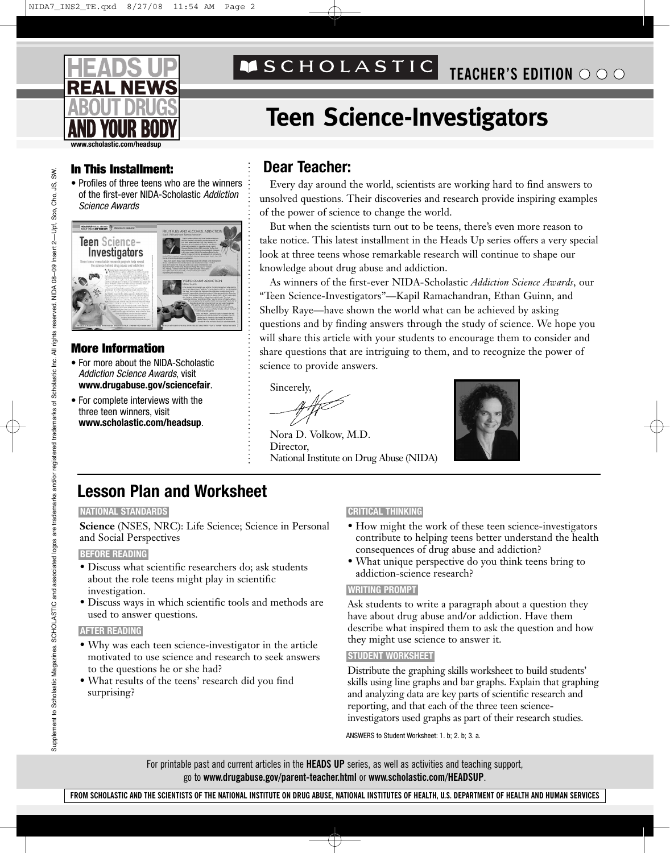

# **TEACHER'S EDITION**

# **Teen Science-Investigators**

### **In This Installment: Dear Teacher:**

• Profiles of three teens who are the winners of the first-ever NIDA-Scholastic *Addiction Science Awards*



### **AND YOUR BODY More Information**

- For more about the NIDA-Scholastic *Addiction Science Awards*, visit **www.drugabuse.gov/sciencefair**.
- For complete interviews with the three teen winners, visit **www.scholastic.com/headsup**.

Every day around the world, scientists are working hard to find answers to unsolved questions. Their discoveries and research provide inspiring examples of the power of science to change the world.

But when the scientists turn out to be teens, there's even more reason to take notice. This latest installment in the Heads Up series offers a very special look at three teens whose remarkable research will continue to shape our knowledge about drug abuse and addiction.

As winners of the first-ever NIDA-Scholastic *Addiction Science Awards*, our "Teen Science-Investigators"—Kapil Ramachandran, Ethan Guinn, and Shelby Raye—have shown the world what can be achieved by asking questions and by finding answers through the study of science. We hope you will share this article with your students to encourage them to consider and share questions that are intriguing to them, and to recognize the power of science to provide answers.

Sincerely,

Nora D. Volkow, M.D. Director, National Institute on Drug Abuse (NIDA)



# **Lesson Plan and Worksheet**

#### **NATIONAL STANDARDS**

**Science** (NSES, NRC): Life Science; Science in Personal and Social Perspectives

#### **BEFORE READING**

- Discuss what scientific researchers do; ask students about the role teens might play in scientific investigation.
- Discuss ways in which scientific tools and methods are used to answer questions.

#### **AFTER READING**

- Why was each teen science-investigator in the article motivated to use science and research to seek answers to the questions he or she had?
- What results of the teens' research did you find surprising?

### **CRITICAL THINKING**

- How might the work of these teen science-investigators contribute to helping teens better understand the health consequences of drug abuse and addiction?
- What unique perspective do you think teens bring to addiction-science research?

#### **WRITING PROMPT**

Ask students to write a paragraph about a question they have about drug abuse and/or addiction. Have them describe what inspired them to ask the question and how they might use science to answer it.

#### **STUDENT WORKSHEET**

Distribute the graphing skills worksheet to build students' skills using line graphs and bar graphs. Explain that graphing and analyzing data are key parts of scientific research and reporting, and that each of the three teen scienceinvestigators used graphs as part of their research studies.

ANSWERS to Student Worksheet: 1. b; 2. b; 3. a.

For printable past and current articles in the **HEADS UP** series, as well as activities and teaching support, go to **www.drugabuse.gov/parent-teacher.html** or **www.scholastic.com/HEADSUP**.

SW.

**FROM SCHOLASTIC AND THE SCIENTISTS OF THE NATIONAL INSTITUTE ON DRUG ABUSE, NATIONAL INSTITUTES OF HEALTH, U.S. DEPARTMENT OF HEALTH AND HUMAN SERVICES**